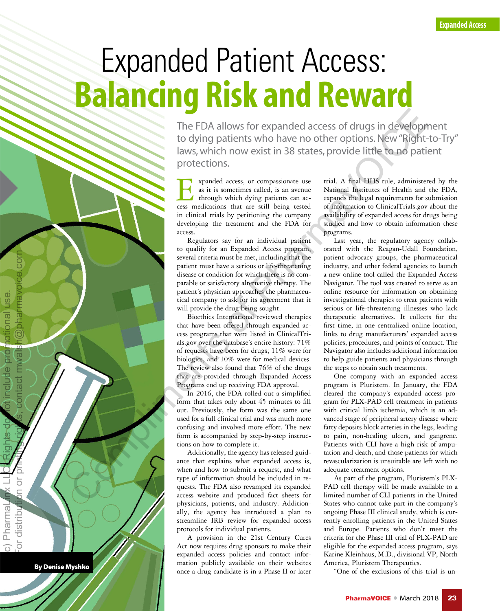# Expanded Patient Access: Balancing Risk and Reward

The FDA allows for expanded access of drugs in development to dying patients who have no other options. New "Right-to-Try" laws, which now exist in 38 states, provide little to no patient protections.

xpanded access, or compassionate use as it is sometimes called, is an avenue through which dying patients can ac-For a spanded access, or compassionate use<br>as it is sometimes called, is an avenue<br>through which dying patients can ac-<br>cess medications that are still being tested in clinical trials by petitioning the company developing the treatment and the FDA for access.

Regulators say for an individual patient to qualify for an Expanded Access program, several criteria must be met, including that the patient must have a serious or life-threatening disease or condition for which there is no comparable or satisfactory alternative therapy. The patient's physician approaches the pharmaceutical company to ask for its agreement that it will provide the drug being sought.

Bioethics International reviewed therapies that have been offered through expanded access programs that were listed in ClinicalTrials.gov over the database's entire history: 71% of requests have been for drugs; 11% were for biologics, and 10% were for medical devices. The review also found that 76% of the drugs that are provided through Expanded Access Programs end up receiving FDA approval.

In 2016, the FDA rolled out a simplified form that takes only about 45 minutes to fill out. Previously, the form was the same one used for a full clinical trial and was much more confusing and involved more effort. The new form is accompanied by step-by-step instructions on how to complete it.

Additionally, the agency has released guidance that explains what expanded access is, when and how to submit a request, and what type of information should be included in requests. The FDA also revamped its expanded access website and produced fact sheets for physicians, patients, and industry. Additionally, the agency has introduced a plan to streamline IRB review for expanded access protocols for individual patients.

A provision in the 21st Century Cures Act now requires drug sponsors to make their expanded access policies and contact information publicly available on their websites once a drug candidate is in a Phase II or later

trial. A final HHS rule, administered by the National Institutes of Health and the FDA, expands the legal requirements for submission of information to ClinicalTrials.gov about the availability of expanded access for drugs being studied and how to obtain information these programs.

Last year, the regulatory agency collaborated with the Reagan-Udall Foundation, patient advocacy groups, the pharmaceutical industry, and other federal agencies to launch a new online tool called the Expanded Access Navigator. The tool was created to serve as an online resource for information on obtaining investigational therapies to treat patients with serious or life-threatening illnesses who lack therapeutic alternatives. It collects for the first time, in one centralized online location, links to drug manufacturers' expanded access policies, procedures, and points of contact. The Navigator also includes additional information to help guide patients and physicians through the steps to obtain such treatments. The FDA allows for expanded access of drags in developing rights, contact in Si States, provide line to the optimization or provide interaction or provide interaction or provide interaction of Pharmaxon and A  $\frac{1}{2}$  mu

One company with an expanded access program is Pluristem. In January, the FDA cleared the company's expanded access program for PLX-PAD cell treatment in patients with critical limb ischemia, which is an advanced stage of peripheral artery disease where fatty deposits block arteries in the legs, leading to pain, non-healing ulcers, and gangrene. Patients with CLI have a high risk of amputation and death, and those patients for which revascularization is unsuitable are left with no adequate treatment options.

As part of the program, Pluristem's PLX-PAD cell therapy will be made available to a limited number of CLI patients in the United States who cannot take part in the company's ongoing Phase III clinical study, which is currently enrolling patients in the United States and Europe. Patients who don't meet the criteria for the Phase III trial of PLX-PAD are eligible for the expanded access program, says Karine Kleinhaus, M.D., divisional VP, North America, Pluristem Therapeutics.

"One of the exclusions of this trial is un-

By Denise Myshko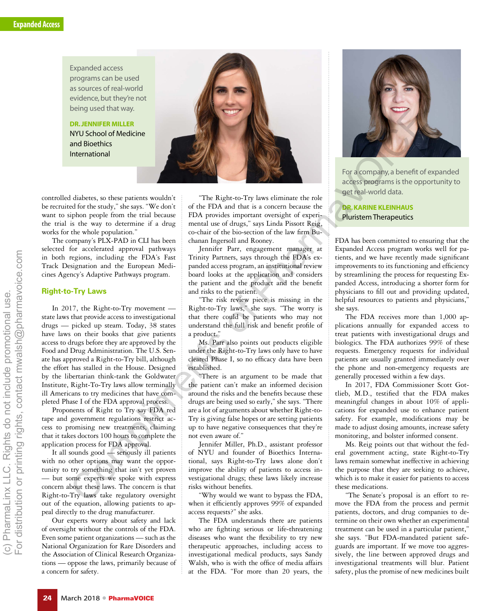Expanded access programs can be used as sources of real-world evidence, but they're not being used that way.

DR. JENNIFER MILLER NYU School of Medicine and Bioethics International



controlled diabetes, so these patients wouldn't be recruited for the study," she says. "We don't want to siphon people from the trial because the trial is the way to determine if a drug works for the whole population."

The company's PLX-PAD in CLI has been selected for accelerated approval pathways in both regions, including the FDA's Fast Track Designation and the European Medicines Agency's Adaptive Pathways program.

### **Right-to-Try Laws**

In 2017, the Right-to-Try movement state laws that provide access to investigational drugs — picked up steam. Today, 38 states have laws on their books that give patients access to drugs before they are approved by the Food and Drug Administration. The U.S. Senate has approved a Right-to-Try bill, although the effort has stalled in the House. Designed by the libertarian think-tank the Goldwater Institute, Right-To-Try laws allow terminally ill Americans to try medicines that have completed Phase I of the FDA approval process.

Proponents of Right to Try say FDA red tape and government regulations restrict access to promising new treatments, claiming that it takes doctors 100 hours to complete the application process for FDA approval.

It all sounds good — seriously ill patients with no other options may want the opportunity to try something that isn't yet proven but some experts we spoke with express concern about these laws. The concern is that Right-to-Try laws take regulatory oversight out of the equation, allowing patients to appeal directly to the drug manufacturer.

Our experts worry about safety and lack of oversight without the controls of the FDA. Even some patient organizations — such as the National Organization for Rare Disorders and the Association of Clinical Research Organizations — oppose the laws, primarily because of a concern for safety.

"The Right-to-Try laws eliminate the role of the FDA and that is a concern because the FDA provides important oversight of experimental use of drugs," says Linda Pissott Reig, co-chair of the bio-section of the law firm Buchanan Ingersoll and Rooney.

Jennifer Parr, engagement manager at Trinity Partners, says through the FDA's expanded access program, an institutional review board looks at the application and considers the patient and the product and the benefit and risks to the patient.

"The risk review piece is missing in the Right-to-Try laws," she says. "The worry is that there could be patients who may not understand the full risk and benefit profile of a product."

Ms. Parr also points out products eligible under the Right-to-Try laws only have to have cleared Phase I, so no efficacy data have been established.

"There is an argument to be made that the patient can't make an informed decision around the risks and the benefits because these drugs are being used so early," she says. "There are a lot of arguments about whether Right-to-Try is giving false hopes or are setting patients up to have negative consequences that they're not even aware of."

Jennifer Miller, Ph.D., assistant professor of NYU and founder of Bioethics International, says Right-to-Try laws alone don't improve the ability of patients to access investigational drugs; these laws likely increase risks without benefits.

"Why would we want to bypass the FDA, when it efficiently approves 99% of expanded access requests?" she asks.

The FDA understands there are patients who are fighting serious or life-threatening diseases who want the flexibility to try new therapeutic approaches, including access to investigational medical products, says Sandy Walsh, who is with the office of media affairs at the FDA. "For more than 20 years, the



For a company, a benefit of expanded access programs is the opportunity to get real-world data.

DR. KARINE KLEINHAUS Pluristem Therapeutics

FDA has been committed to ensuring that the Expanded Access program works well for patients, and we have recently made significant improvements to its functioning and efficiency by streamlining the process for requesting Expanded Access, introducing a shorter form for physicians to fill out and providing updated, helpful resources to patients and physicians,' she says.

The FDA receives more than 1,000 applications annually for expanded access to treat patients with investigational drugs and biologics. The FDA authorizes 99% of these requests. Emergency requests for individual patients are usually granted immediately over the phone and non-emergency requests are generally processed within a few days.

In 2017, FDA Commissioner Scott Gottlieb, M.D., testified that the FDA makes meaningful changes in about 10% of applications for expanded use to enhance patient safety. For example, modifications may be made to adjust dosing amounts, increase safety monitoring, and bolster informed consent.

Ms. Reig points out that without the federal government acting, state Right-to-Try laws remain somewhat ineffective in achieving the purpose that they are seeking to achieve, which is to make it easier for patients to access these medications.

"The Senate's proposal is an effort to remove the FDA from the process and permit patients, doctors, and drug companies to determine on their own whether an experimental treatment can be used in a particular patient,' she says. "But FDA-mandated patient safeguards are important. If we move too aggressively, the line between approved drugs and investigational treatments will blur. Patient safety, plus the promise of new medicines built